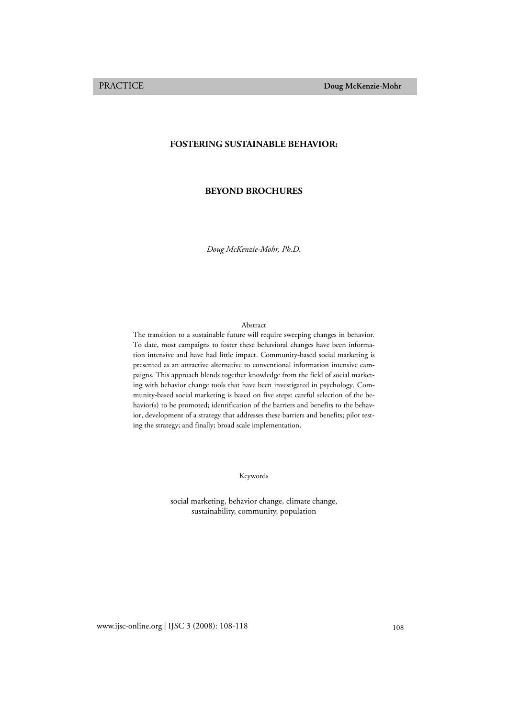# **FOSTERING SUSTAINABLE BEHAVIOR:**

## **BEYOND BROCHURES**

*Doug McKenzie-Mohr, Ph.D.* 

### Abstract

The transition to a sustainable future will require sweeping changes in behavior. To date, most campaigns to foster these behavioral changes have been information intensive and have had little impact. Community-based social marketing is presented as an attractive alternative to conventional information intensive campaigns. This approach blends together knowledge from the field of social marketing with behavior change tools that have been investigated in psychology. Community-based social marketing is based on five steps: careful selection of the behavior(s) to be promoted; identification of the barriers and benefits to the behavior, development of a strategy that addresses these barriers and benefits; pilot testing the strategy; and finally; broad scale implementation.

Keywords

social marketing, behavior change, climate change, sustainability, community, population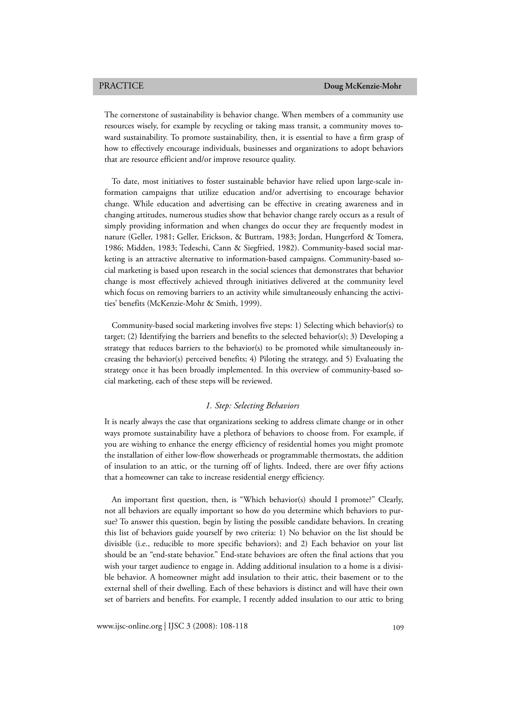The cornerstone of sustainability is behavior change. When members of a community use resources wisely, for example by recycling or taking mass transit, a community moves toward sustainability. To promote sustainability, then, it is essential to have a firm grasp of how to effectively encourage individuals, businesses and organizations to adopt behaviors that are resource efficient and/or improve resource quality.

To date, most initiatives to foster sustainable behavior have relied upon large-scale information campaigns that utilize education and/or advertising to encourage behavior change. While education and advertising can be effective in creating awareness and in changing attitudes, numerous studies show that behavior change rarely occurs as a result of simply providing information and when changes do occur they are frequently modest in nature (Geller, 1981; Geller, Erickson, & Buttram, 1983; Jordan, Hungerford & Tomera, 1986; Midden, 1983; Tedeschi, Cann & Siegfried, 1982). Community-based social marketing is an attractive alternative to information-based campaigns. Community-based social marketing is based upon research in the social sciences that demonstrates that behavior change is most effectively achieved through initiatives delivered at the community level which focus on removing barriers to an activity while simultaneously enhancing the activities' benefits (McKenzie-Mohr & Smith, 1999).

Community-based social marketing involves five steps: 1) Selecting which behavior(s) to target; (2) Identifying the barriers and benefits to the selected behavior(s); 3) Developing a strategy that reduces barriers to the behavior(s) to be promoted while simultaneously increasing the behavior(s) perceived benefits; 4) Piloting the strategy, and 5) Evaluating the strategy once it has been broadly implemented. In this overview of community-based social marketing, each of these steps will be reviewed.

## *1. Step: Selecting Behaviors*

It is nearly always the case that organizations seeking to address climate change or in other ways promote sustainability have a plethora of behaviors to choose from. For example, if you are wishing to enhance the energy efficiency of residential homes you might promote the installation of either low-flow showerheads or programmable thermostats, the addition of insulation to an attic, or the turning off of lights. Indeed, there are over fifty actions that a homeowner can take to increase residential energy efficiency.

An important first question, then, is "Which behavior(s) should I promote?" Clearly, not all behaviors are equally important so how do you determine which behaviors to pursue? To answer this question, begin by listing the possible candidate behaviors. In creating this list of behaviors guide yourself by two criteria: 1) No behavior on the list should be divisible (i.e., reducible to more specific behaviors); and 2) Each behavior on your list should be an "end-state behavior." End-state behaviors are often the final actions that you wish your target audience to engage in. Adding additional insulation to a home is a divisible behavior. A homeowner might add insulation to their attic, their basement or to the external shell of their dwelling. Each of these behaviors is distinct and will have their own set of barriers and benefits. For example, I recently added insulation to our attic to bring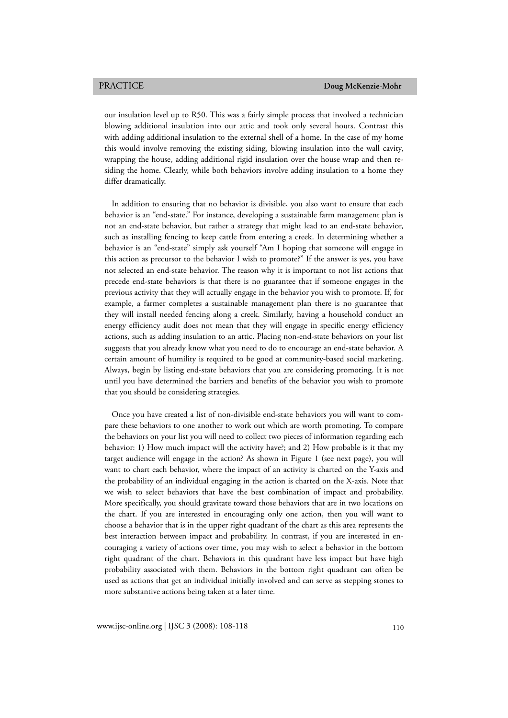our insulation level up to R50. This was a fairly simple process that involved a technician blowing additional insulation into our attic and took only several hours. Contrast this with adding additional insulation to the external shell of a home. In the case of my home this would involve removing the existing siding, blowing insulation into the wall cavity, wrapping the house, adding additional rigid insulation over the house wrap and then residing the home. Clearly, while both behaviors involve adding insulation to a home they differ dramatically.

In addition to ensuring that no behavior is divisible, you also want to ensure that each behavior is an "end-state." For instance, developing a sustainable farm management plan is not an end-state behavior, but rather a strategy that might lead to an end-state behavior, such as installing fencing to keep cattle from entering a creek. In determining whether a behavior is an "end-state" simply ask yourself "Am I hoping that someone will engage in this action as precursor to the behavior I wish to promote?" If the answer is yes, you have not selected an end-state behavior. The reason why it is important to not list actions that precede end-state behaviors is that there is no guarantee that if someone engages in the previous activity that they will actually engage in the behavior you wish to promote. If, for example, a farmer completes a sustainable management plan there is no guarantee that they will install needed fencing along a creek. Similarly, having a household conduct an energy efficiency audit does not mean that they will engage in specific energy efficiency actions, such as adding insulation to an attic. Placing non-end-state behaviors on your list suggests that you already know what you need to do to encourage an end-state behavior. A certain amount of humility is required to be good at community-based social marketing. Always, begin by listing end-state behaviors that you are considering promoting. It is not until you have determined the barriers and benefits of the behavior you wish to promote that you should be considering strategies.

Once you have created a list of non-divisible end-state behaviors you will want to compare these behaviors to one another to work out which are worth promoting. To compare the behaviors on your list you will need to collect two pieces of information regarding each behavior: 1) How much impact will the activity have?; and 2) How probable is it that my target audience will engage in the action? As shown in Figure 1 (see next page), you will want to chart each behavior, where the impact of an activity is charted on the Y-axis and the probability of an individual engaging in the action is charted on the X-axis. Note that we wish to select behaviors that have the best combination of impact and probability. More specifically, you should gravitate toward those behaviors that are in two locations on the chart. If you are interested in encouraging only one action, then you will want to choose a behavior that is in the upper right quadrant of the chart as this area represents the best interaction between impact and probability. In contrast, if you are interested in encouraging a variety of actions over time, you may wish to select a behavior in the bottom right quadrant of the chart. Behaviors in this quadrant have less impact but have high probability associated with them. Behaviors in the bottom right quadrant can often be used as actions that get an individual initially involved and can serve as stepping stones to more substantive actions being taken at a later time.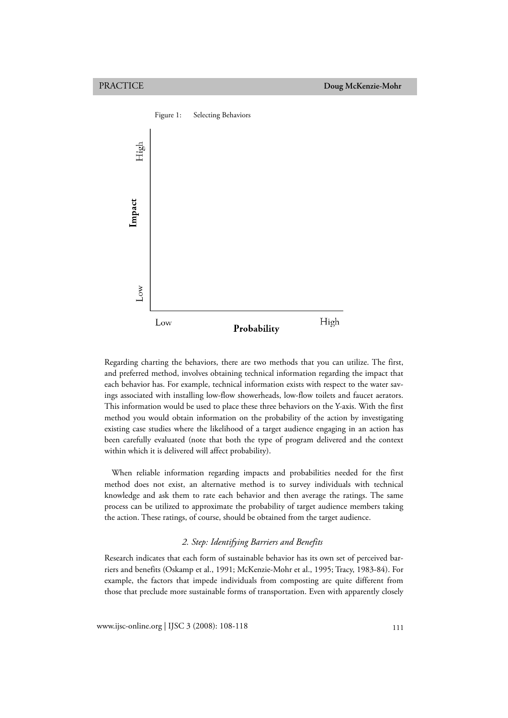

Regarding charting the behaviors, there are two methods that you can utilize. The first, and preferred method, involves obtaining technical information regarding the impact that each behavior has. For example, technical information exists with respect to the water savings associated with installing low-flow showerheads, low-flow toilets and faucet aerators. This information would be used to place these three behaviors on the Y-axis. With the first method you would obtain information on the probability of the action by investigating existing case studies where the likelihood of a target audience engaging in an action has been carefully evaluated (note that both the type of program delivered and the context within which it is delivered will affect probability).

When reliable information regarding impacts and probabilities needed for the first method does not exist, an alternative method is to survey individuals with technical knowledge and ask them to rate each behavior and then average the ratings. The same process can be utilized to approximate the probability of target audience members taking the action. These ratings, of course, should be obtained from the target audience.

# *2. Step: Identifying Barriers and Benefits*

Research indicates that each form of sustainable behavior has its own set of perceived barriers and benefits (Oskamp et al., 1991; McKenzie-Mohr et al., 1995; Tracy, 1983-84). For example, the factors that impede individuals from composting are quite different from those that preclude more sustainable forms of transportation. Even with apparently closely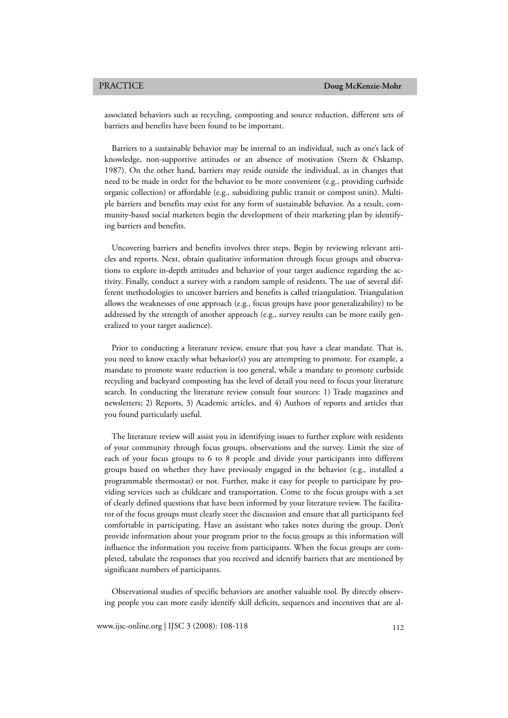associated behaviors such as recycling, composting and source reduction, different sets of barriers and benefits have been found to be important.

Barriers to a sustainable behavior may be internal to an individual, such as one's lack of knowledge, non-supportive attitudes or an absence of motivation (Stern & Oskamp, 1987). On the other hand, barriers may reside outside the individual, as in changes that need to be made in order for the behavior to be more convenient (e.g., providing curbside organic collection) or affordable (e.g., subsidizing public transit or compost units). Multiple barriers and benefits may exist for any form of sustainable behavior. As a result, community-based social marketers begin the development of their marketing plan by identifying barriers and benefits.

Uncovering barriers and benefits involves three steps. Begin by reviewing relevant articles and reports. Next, obtain qualitative information through focus groups and observations to explore in-depth attitudes and behavior of your target audience regarding the activity. Finally, conduct a survey with a random sample of residents. The use of several different methodologies to uncover barriers and benefits is called triangulation. Triangulation allows the weaknesses of one approach (e.g., focus groups have poor generalizability) to be addressed by the strength of another approach (e.g., survey results can be more easily generalized to your target audience).

Prior to conducting a literature review, ensure that you have a clear mandate. That is, you need to know exactly what behavior(s) you are attempting to promote. For example, a mandate to promote waste reduction is too general, while a mandate to promote curbside recycling and backyard composting has the level of detail you need to focus your literature search. In conducting the literature review consult four sources: 1) Trade magazines and newsletters; 2) Reports, 3) Academic articles, and 4) Authors of reports and articles that you found particularly useful.

The literature review will assist you in identifying issues to further explore with residents of your community through focus groups, observations and the survey. Limit the size of each of your focus groups to 6 to 8 people and divide your participants into different groups based on whether they have previously engaged in the behavior (e.g., installed a programmable thermostat) or not. Further, make it easy for people to participate by providing services such as childcare and transportation. Come to the focus groups with a set of clearly defined questions that have been informed by your literature review. The facilitator of the focus groups must clearly steer the discussion and ensure that all participants feel comfortable in participating. Have an assistant who takes notes during the group. Don't provide information about your program prior to the focus groups as this information will influence the information you receive from participants. When the focus groups are completed, tabulate the responses that you received and identify barriers that are mentioned by significant numbers of participants.

Observational studies of specific behaviors are another valuable tool. By directly observing people you can more easily identify skill deficits, sequences and incentives that are al-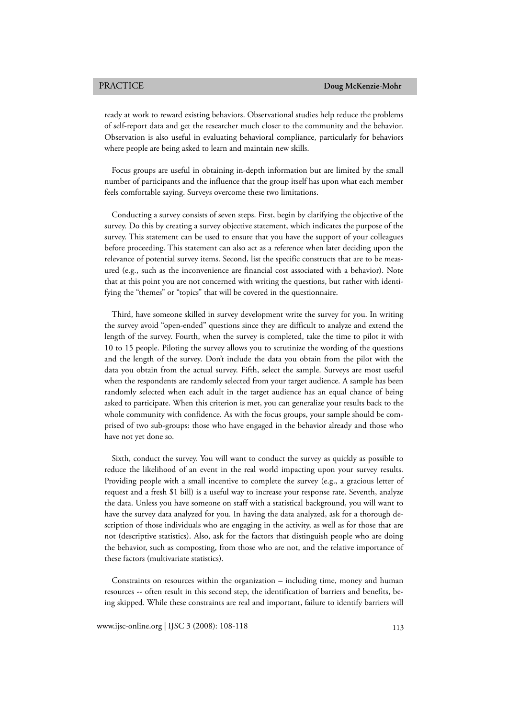ready at work to reward existing behaviors. Observational studies help reduce the problems of self-report data and get the researcher much closer to the community and the behavior. Observation is also useful in evaluating behavioral compliance, particularly for behaviors where people are being asked to learn and maintain new skills.

Focus groups are useful in obtaining in-depth information but are limited by the small number of participants and the influence that the group itself has upon what each member feels comfortable saying. Surveys overcome these two limitations.

Conducting a survey consists of seven steps. First, begin by clarifying the objective of the survey. Do this by creating a survey objective statement, which indicates the purpose of the survey. This statement can be used to ensure that you have the support of your colleagues before proceeding. This statement can also act as a reference when later deciding upon the relevance of potential survey items. Second, list the specific constructs that are to be measured (e.g., such as the inconvenience are financial cost associated with a behavior). Note that at this point you are not concerned with writing the questions, but rather with identifying the "themes" or "topics" that will be covered in the questionnaire.

Third, have someone skilled in survey development write the survey for you. In writing the survey avoid "open-ended" questions since they are difficult to analyze and extend the length of the survey. Fourth, when the survey is completed, take the time to pilot it with 10 to 15 people. Piloting the survey allows you to scrutinize the wording of the questions and the length of the survey. Don't include the data you obtain from the pilot with the data you obtain from the actual survey. Fifth, select the sample. Surveys are most useful when the respondents are randomly selected from your target audience. A sample has been randomly selected when each adult in the target audience has an equal chance of being asked to participate. When this criterion is met, you can generalize your results back to the whole community with confidence. As with the focus groups, your sample should be comprised of two sub-groups: those who have engaged in the behavior already and those who have not yet done so.

Sixth, conduct the survey. You will want to conduct the survey as quickly as possible to reduce the likelihood of an event in the real world impacting upon your survey results. Providing people with a small incentive to complete the survey (e.g., a gracious letter of request and a fresh \$1 bill) is a useful way to increase your response rate. Seventh, analyze the data. Unless you have someone on staff with a statistical background, you will want to have the survey data analyzed for you. In having the data analyzed, ask for a thorough description of those individuals who are engaging in the activity, as well as for those that are not (descriptive statistics). Also, ask for the factors that distinguish people who are doing the behavior, such as composting, from those who are not, and the relative importance of these factors (multivariate statistics).

Constraints on resources within the organization – including time, money and human resources -- often result in this second step, the identification of barriers and benefits, being skipped. While these constraints are real and important, failure to identify barriers will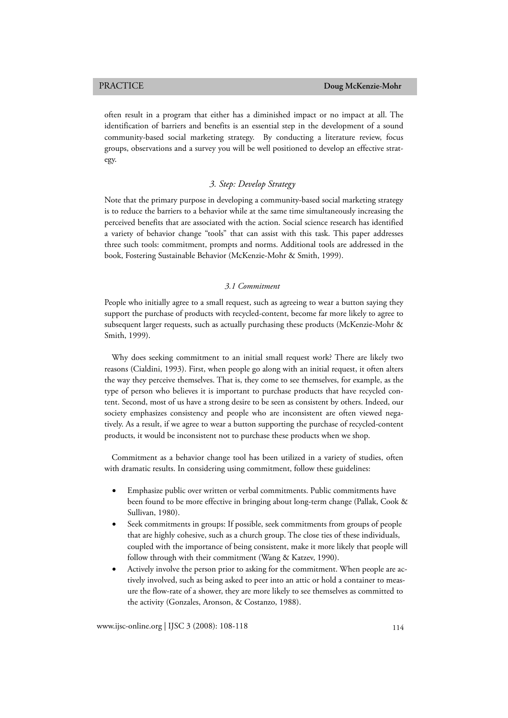often result in a program that either has a diminished impact or no impact at all. The identification of barriers and benefits is an essential step in the development of a sound community-based social marketing strategy. By conducting a literature review, focus groups, observations and a survey you will be well positioned to develop an effective strategy.

# *3. Step: Develop Strategy*

Note that the primary purpose in developing a community-based social marketing strategy is to reduce the barriers to a behavior while at the same time simultaneously increasing the perceived benefits that are associated with the action. Social science research has identified a variety of behavior change "tools" that can assist with this task. This paper addresses three such tools: commitment, prompts and norms. Additional tools are addressed in the book, Fostering Sustainable Behavior (McKenzie-Mohr & Smith, 1999).

### *3.1 Commitment*

People who initially agree to a small request, such as agreeing to wear a button saying they support the purchase of products with recycled-content, become far more likely to agree to subsequent larger requests, such as actually purchasing these products (McKenzie-Mohr & Smith, 1999).

Why does seeking commitment to an initial small request work? There are likely two reasons (Cialdini, 1993). First, when people go along with an initial request, it often alters the way they perceive themselves. That is, they come to see themselves, for example, as the type of person who believes it is important to purchase products that have recycled content. Second, most of us have a strong desire to be seen as consistent by others. Indeed, our society emphasizes consistency and people who are inconsistent are often viewed negatively. As a result, if we agree to wear a button supporting the purchase of recycled-content products, it would be inconsistent not to purchase these products when we shop.

Commitment as a behavior change tool has been utilized in a variety of studies, often with dramatic results. In considering using commitment, follow these guidelines:

- Emphasize public over written or verbal commitments. Public commitments have been found to be more effective in bringing about long-term change (Pallak, Cook & Sullivan, 1980).
- Seek commitments in groups: If possible, seek commitments from groups of people that are highly cohesive, such as a church group. The close ties of these individuals, coupled with the importance of being consistent, make it more likely that people will follow through with their commitment (Wang & Katzev, 1990).
- Actively involve the person prior to asking for the commitment. When people are actively involved, such as being asked to peer into an attic or hold a container to measure the flow-rate of a shower, they are more likely to see themselves as committed to the activity (Gonzales, Aronson, & Costanzo, 1988).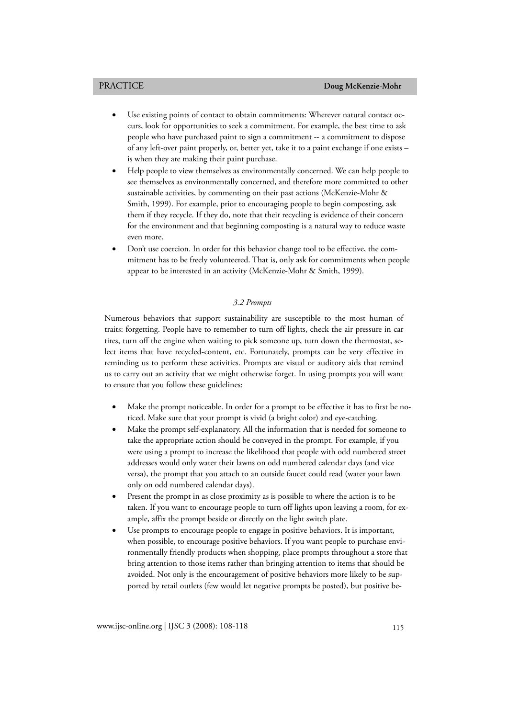- Use existing points of contact to obtain commitments: Wherever natural contact occurs, look for opportunities to seek a commitment. For example, the best time to ask people who have purchased paint to sign a commitment -- a commitment to dispose of any left-over paint properly, or, better yet, take it to a paint exchange if one exists – is when they are making their paint purchase.
- Help people to view themselves as environmentally concerned. We can help people to see themselves as environmentally concerned, and therefore more committed to other sustainable activities, by commenting on their past actions (McKenzie-Mohr & Smith, 1999). For example, prior to encouraging people to begin composting, ask them if they recycle. If they do, note that their recycling is evidence of their concern for the environment and that beginning composting is a natural way to reduce waste even more.
- Don't use coercion. In order for this behavior change tool to be effective, the commitment has to be freely volunteered. That is, only ask for commitments when people appear to be interested in an activity (McKenzie-Mohr & Smith, 1999).

### *3.2 Prompts*

Numerous behaviors that support sustainability are susceptible to the most human of traits: forgetting. People have to remember to turn off lights, check the air pressure in car tires, turn off the engine when waiting to pick someone up, turn down the thermostat, select items that have recycled-content, etc. Fortunately, prompts can be very effective in reminding us to perform these activities. Prompts are visual or auditory aids that remind us to carry out an activity that we might otherwise forget. In using prompts you will want to ensure that you follow these guidelines:

- Make the prompt noticeable. In order for a prompt to be effective it has to first be noticed. Make sure that your prompt is vivid (a bright color) and eye-catching.
- Make the prompt self-explanatory. All the information that is needed for someone to take the appropriate action should be conveyed in the prompt. For example, if you were using a prompt to increase the likelihood that people with odd numbered street addresses would only water their lawns on odd numbered calendar days (and vice versa), the prompt that you attach to an outside faucet could read (water your lawn only on odd numbered calendar days).
- Present the prompt in as close proximity as is possible to where the action is to be taken. If you want to encourage people to turn off lights upon leaving a room, for example, affix the prompt beside or directly on the light switch plate.
- Use prompts to encourage people to engage in positive behaviors. It is important, when possible, to encourage positive behaviors. If you want people to purchase environmentally friendly products when shopping, place prompts throughout a store that bring attention to those items rather than bringing attention to items that should be avoided. Not only is the encouragement of positive behaviors more likely to be supported by retail outlets (few would let negative prompts be posted), but positive be-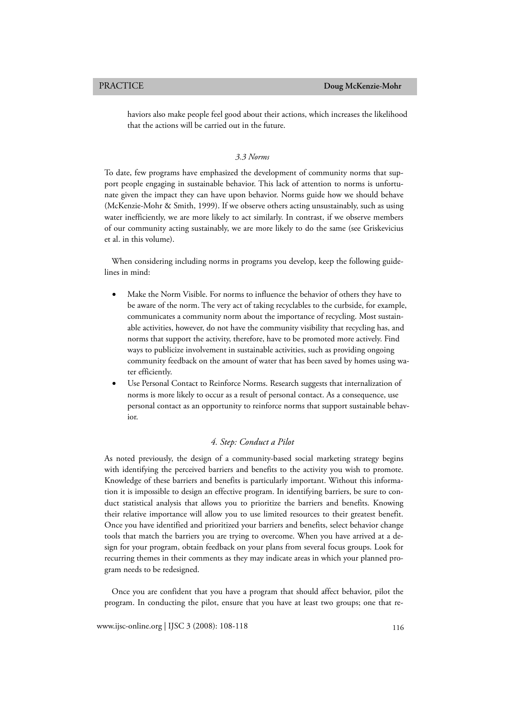haviors also make people feel good about their actions, which increases the likelihood that the actions will be carried out in the future.

## *3.3 Norms*

To date, few programs have emphasized the development of community norms that support people engaging in sustainable behavior. This lack of attention to norms is unfortunate given the impact they can have upon behavior. Norms guide how we should behave (McKenzie-Mohr & Smith, 1999). If we observe others acting unsustainably, such as using water inefficiently, we are more likely to act similarly. In contrast, if we observe members of our community acting sustainably, we are more likely to do the same (see Griskevicius et al. in this volume).

When considering including norms in programs you develop, keep the following guidelines in mind:

- Make the Norm Visible. For norms to influence the behavior of others they have to be aware of the norm. The very act of taking recyclables to the curbside, for example, communicates a community norm about the importance of recycling. Most sustainable activities, however, do not have the community visibility that recycling has, and norms that support the activity, therefore, have to be promoted more actively. Find ways to publicize involvement in sustainable activities, such as providing ongoing community feedback on the amount of water that has been saved by homes using water efficiently.
- Use Personal Contact to Reinforce Norms. Research suggests that internalization of norms is more likely to occur as a result of personal contact. As a consequence, use personal contact as an opportunity to reinforce norms that support sustainable behavior.

## *4. Step: Conduct a Pilot*

As noted previously, the design of a community-based social marketing strategy begins with identifying the perceived barriers and benefits to the activity you wish to promote. Knowledge of these barriers and benefits is particularly important. Without this information it is impossible to design an effective program. In identifying barriers, be sure to conduct statistical analysis that allows you to prioritize the barriers and benefits. Knowing their relative importance will allow you to use limited resources to their greatest benefit. Once you have identified and prioritized your barriers and benefits, select behavior change tools that match the barriers you are trying to overcome. When you have arrived at a design for your program, obtain feedback on your plans from several focus groups. Look for recurring themes in their comments as they may indicate areas in which your planned program needs to be redesigned.

Once you are confident that you have a program that should affect behavior, pilot the program. In conducting the pilot, ensure that you have at least two groups; one that re-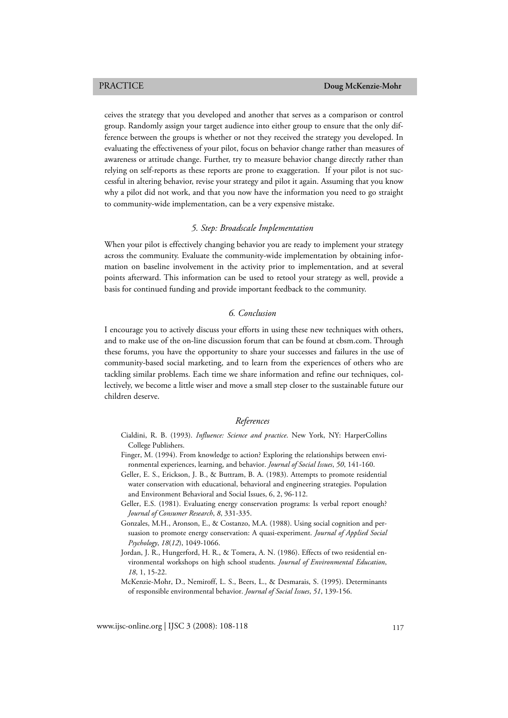ceives the strategy that you developed and another that serves as a comparison or control group. Randomly assign your target audience into either group to ensure that the only difference between the groups is whether or not they received the strategy you developed. In evaluating the effectiveness of your pilot, focus on behavior change rather than measures of awareness or attitude change. Further, try to measure behavior change directly rather than relying on self-reports as these reports are prone to exaggeration. If your pilot is not successful in altering behavior, revise your strategy and pilot it again. Assuming that you know why a pilot did not work, and that you now have the information you need to go straight to community-wide implementation, can be a very expensive mistake.

### *5. Step: Broadscale Implementation*

When your pilot is effectively changing behavior you are ready to implement your strategy across the community. Evaluate the community-wide implementation by obtaining information on baseline involvement in the activity prior to implementation, and at several points afterward. This information can be used to retool your strategy as well, provide a basis for continued funding and provide important feedback to the community.

## *6. Conclusion*

I encourage you to actively discuss your efforts in using these new techniques with others, and to make use of the on-line discussion forum that can be found at cbsm.com. Through these forums, you have the opportunity to share your successes and failures in the use of community-based social marketing, and to learn from the experiences of others who are tackling similar problems. Each time we share information and refine our techniques, collectively, we become a little wiser and move a small step closer to the sustainable future our children deserve.

### *References*

- Cialdini, R. B. (1993). *Influence: Science and practice*. New York, NY: HarperCollins College Publishers.
- Finger, M. (1994). From knowledge to action? Exploring the relationships between environmental experiences, learning, and behavior. *Journal of Social Issues*, *50*, 141-160.
- Geller, E. S., Erickson, J. B., & Buttram, B. A. (1983). Attempts to promote residential water conservation with educational, behavioral and engineering strategies. Population and Environment Behavioral and Social Issues, 6, 2, 96-112.
- Geller, E.S. (1981). Evaluating energy conservation programs: Is verbal report enough? *Journal of Consumer Research*, *8*, 331-335.
- Gonzales, M.H., Aronson, E., & Costanzo, M.A. (1988). Using social cognition and persuasion to promote energy conservation: A quasi-experiment. *Journal of Applied Social Psychology*, *18*(*12*), 1049-1066.
- Jordan, J. R., Hungerford, H. R., & Tomera, A. N. (1986). Effects of two residential environmental workshops on high school students. *Journal of Environmental Education*, *18*, 1, 15-22.
- McKenzie-Mohr, D., Nemiroff, L. S., Beers, L., & Desmarais, S. (1995). Determinants of responsible environmental behavior. *Journal of Social Issues*, *51*, 139-156.